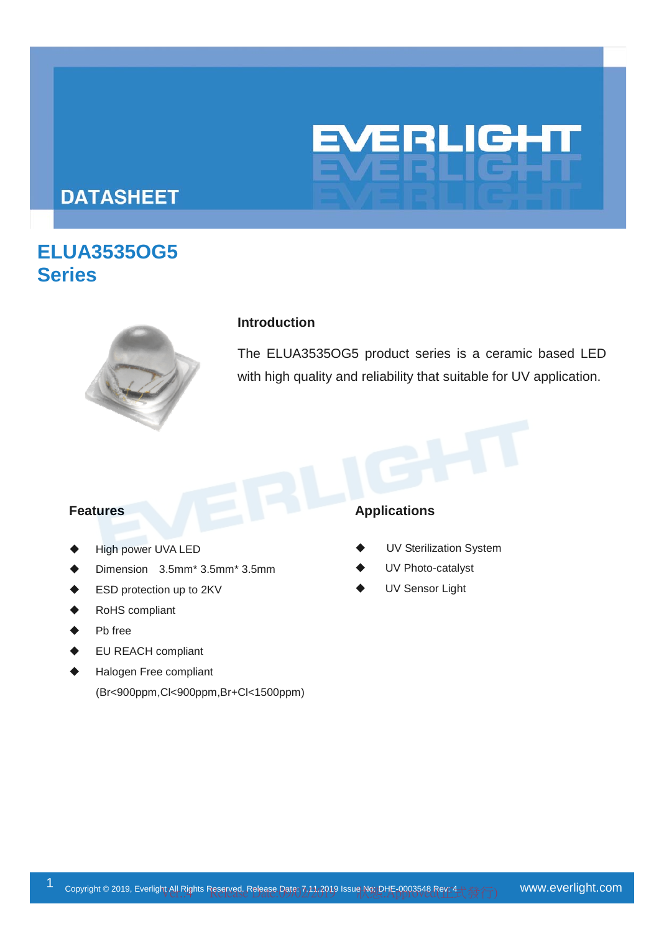

# **DATASHEET**

# **ELUA3535OG5 Series**



#### **Introduction**

The ELUA3535OG5 product series is a ceramic based LED with high quality and reliability that suitable for UV application.

- High power UVA LED
- Dimension 3.5mm\* 3.5mm\* 3.5mm
- ESD protection up to 2KV
- RoHS compliant
- Pb free
- EU REACH compliant
- Halogen Free compliant (Br<900ppm,Cl<900ppm,Br+Cl<1500ppm)

#### **Features** Applications

- UV Sterilization System
- UV Photo-catalyst
- UV Sensor Light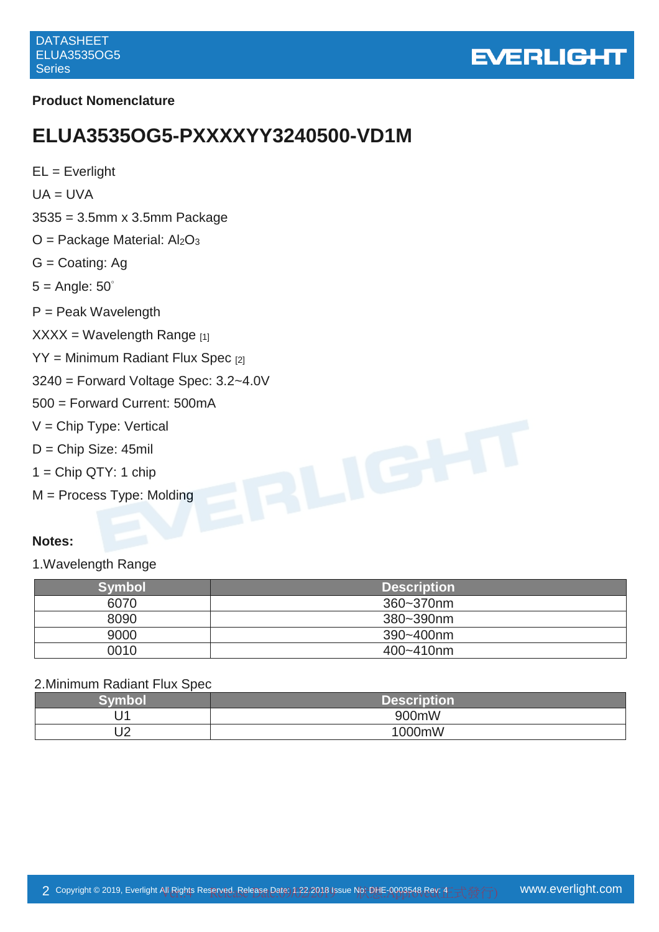

#### **Product Nomenclature**

# **ELUA3535OG5-PXXXXYY3240500-VD1M**

| $EL = Everlight$                                       |
|--------------------------------------------------------|
| $UA = UVA$                                             |
| $3535 = 3.5$ mm x 3.5mm Package                        |
| $O =$ Package Material: Al <sub>2</sub> O <sub>3</sub> |
| $G =$ Coating: Ag                                      |
| $5 =$ Angle: $50^\circ$                                |
| $P =$ Peak Wavelength                                  |
| $XXX = Wavelength Range_{[1]}$                         |
| $YY = Minimum$ Radiant Flux Spec [2]                   |
| $3240$ = Forward Voltage Spec: $3.2 - 4.0V$            |
| 500 = Forward Current: 500mA                           |
| $V =$ Chip Type: Vertical                              |
| $D =$ Chip Size: 45mil                                 |
| $1 =$ Chip QTY: 1 chip                                 |
| $M =$ Process Type: Molding                            |
|                                                        |
|                                                        |

#### **Notes:**

1.Wavelength Range

| <b>Symbol</b> | <b>Description</b> |
|---------------|--------------------|
| 6070          | 360~370nm          |
| 8090          | 380~390nm          |
| 9000          | 390~400nm          |
| 0010          | 400~410nm          |

#### 2.Minimum Radiant Flux Spec

| Svm<br>▬◣▚       | <b>Description</b> |
|------------------|--------------------|
| м                | 900mW              |
| $\sqrt{2}$<br>◡∠ | 1000mW             |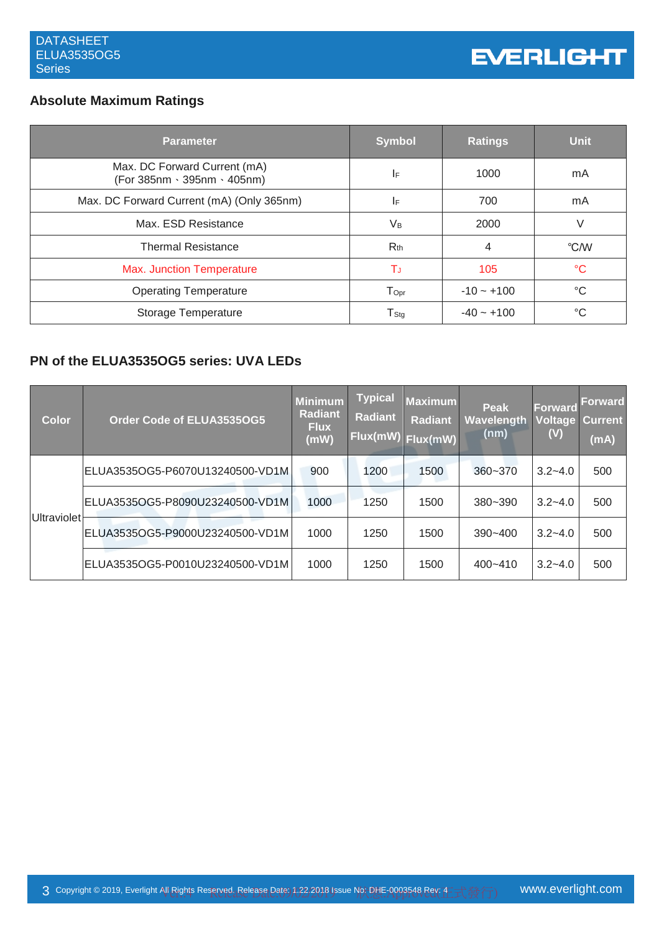# **Absolute Maximum Ratings**

| <b>Parameter</b>                                            | <b>Symbol</b>               | <b>Ratings</b> | <b>Unit</b> |
|-------------------------------------------------------------|-----------------------------|----------------|-------------|
| Max. DC Forward Current (mA)<br>(For 385nm · 395nm · 405nm) | IF.                         | 1000           | mA          |
| Max. DC Forward Current (mA) (Only 365nm)                   | IF.                         | 700            | mA          |
| Max. ESD Resistance                                         | Vв                          | 2000           | V           |
| <b>Thermal Resistance</b>                                   | $R_{th}$                    | 4              | °C/W        |
| <b>Max. Junction Temperature</b>                            | Tu                          | 105            | °C          |
| <b>Operating Temperature</b>                                | $\mathsf{T}_{\mathsf{Opt}}$ | $-10 - +100$   | °C          |
| Storage Temperature                                         | $\mathsf{T}_{\mathsf{Stg}}$ | $-40 - +100$   | °C          |

# **PN of the ELUA3535OG5 series: UVA LEDs**

| <b>Color</b>       | Order Code of ELUA3535OG5       | <b>Minimum</b><br><b>Radiant</b><br><b>Flux</b><br>(mW) | <b>Typical</b><br><b>Radiant</b><br>Flux(mW) | <b>Maximum</b><br><b>Radiant</b><br>Flux(mW) | Peak<br>Wavelength<br>(nm) | <b>Forward</b><br>(V) | <b>Forward</b><br><b>Voltage Current</b><br>(mA) |
|--------------------|---------------------------------|---------------------------------------------------------|----------------------------------------------|----------------------------------------------|----------------------------|-----------------------|--------------------------------------------------|
|                    | ELUA3535OG5-P6070U13240500-VD1M | 900                                                     | 1200                                         | 1500                                         | $360 - 370$                | $3.2 - 4.0$           | 500                                              |
| <b>Ultraviolet</b> | ELUA3535OG5-P8090U23240500-VD1M | 1000                                                    | 1250                                         | 1500                                         | $380 - 390$                | $3.2 - 4.0$           | 500                                              |
|                    | ELUA3535OG5-P9000U23240500-VD1M | 1000                                                    | 1250                                         | 1500                                         | $390 - 400$                | $3.2 - 4.0$           | 500                                              |
|                    | ELUA3535OG5-P0010U23240500-VD1M | 1000                                                    | 1250                                         | 1500                                         | $400 - 410$                | $3.2 - 4.0$           | 500                                              |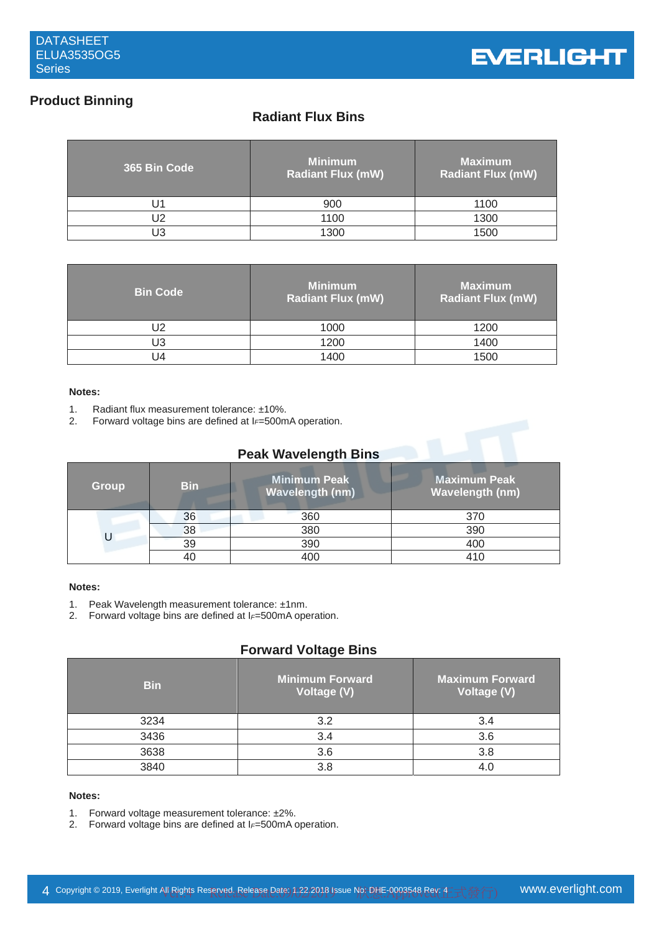# **Product Binning**

# **Radiant Flux Bins**

| 365 Bin Code | <b>Minimum</b><br><b>Radiant Flux (mW)</b> | <b>Maximum</b><br><b>Radiant Flux (mW)</b> |
|--------------|--------------------------------------------|--------------------------------------------|
|              | 900                                        | 1100                                       |
| J2           | 1100                                       | 1300                                       |
| JЗ           | 1300                                       | 1500                                       |

| <b>Bin Code</b> | <b>Minimum</b><br><b>Radiant Flux (mW)</b> | <b>Maximum</b><br><b>Radiant Flux (mW)</b> |
|-----------------|--------------------------------------------|--------------------------------------------|
| J2              | 1000                                       | 1200                                       |
| U3              | 1200                                       | 1400                                       |
| J4              | 1400                                       | 1500                                       |

#### **Notes:**

- 1. Radiant flux measurement tolerance:  $\pm 10\%$ .<br>2. Forward voltage bins are defined at  $l = 500$ m
- Forward voltage bins are defined at I<sub>F</sub>=500mA operation.

#### **Peak Wavelength Bins**

| <b>Group</b> | <b>Bin</b> | <b>Minimum Peak</b><br><b>Wavelength (nm)</b> | <b>Maximum Peak</b><br><b>Wavelength (nm)</b> |
|--------------|------------|-----------------------------------------------|-----------------------------------------------|
|              | 36         | 360                                           | 370                                           |
|              | 38         | 380                                           | 390                                           |
|              | 39         | 390                                           | 400                                           |
|              |            | 40C                                           | 410                                           |

#### **Notes:**

- 1. Peak Wavelength measurement tolerance: ±1nm.
- 2. Forward voltage bins are defined at I*F*=500mA operation.

#### **Forward Voltage Bins**

| <b>Bin</b> | <b>Minimum Forward</b><br>Voltage (V) | <b>Maximum Forward</b><br>Voltage (V) |
|------------|---------------------------------------|---------------------------------------|
| 3234       | 3.2                                   | 3.4                                   |
| 3436       | 3.4                                   | 3.6                                   |
| 3638       | 3.6                                   | 3.8                                   |
| 3840       | 3.8                                   |                                       |

#### **Notes:**

- 1. Forward voltage measurement tolerance: ±2%.
- 2. Forward voltage bins are defined at I*F*=500mA operation.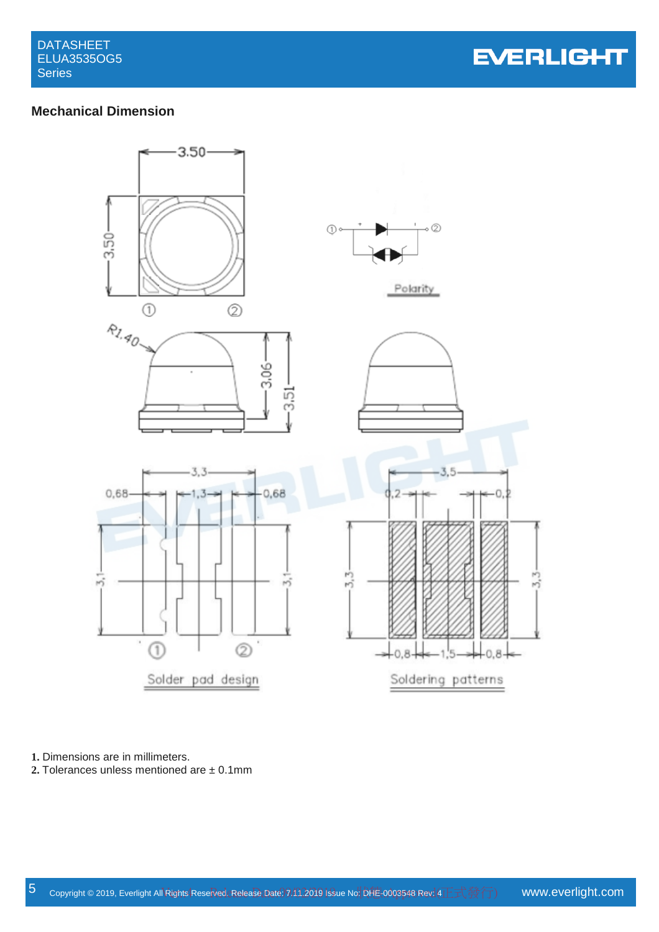**EVERLIGHT** 

# **Mechanical Dimension**



**1.** Dimensions are in millimeters.

**2.** Tolerances unless mentioned are ± 0.1mm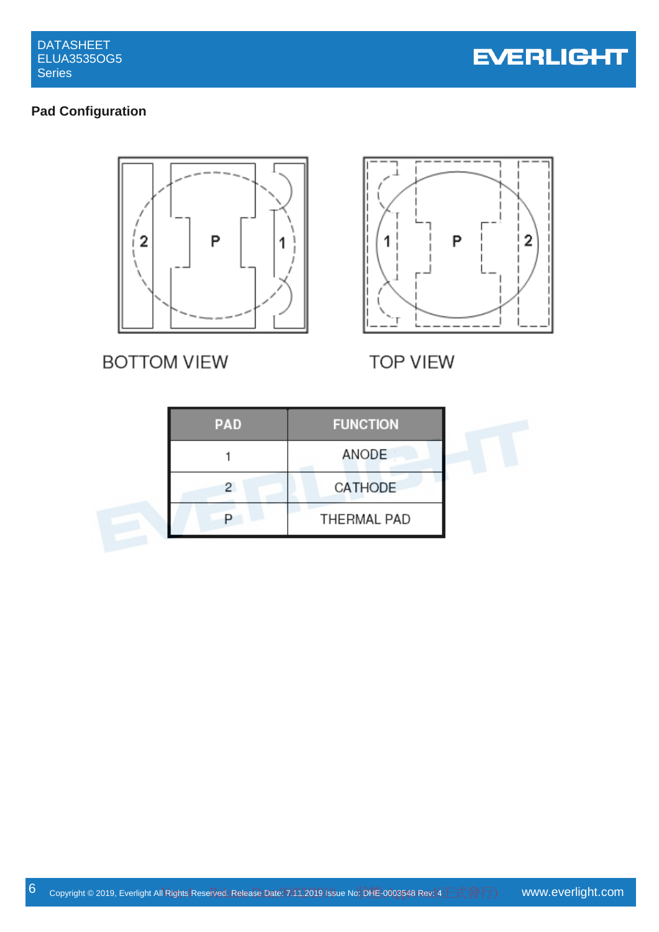

# **Pad Configuration**



**BOTTOM VIEW** 



**TOP VIEW** 

| <b>PAD</b> | <b>FUNCTION</b> |
|------------|-----------------|
|            | ANODE           |
|            | CATHODE         |
|            | THERMAL PAD     |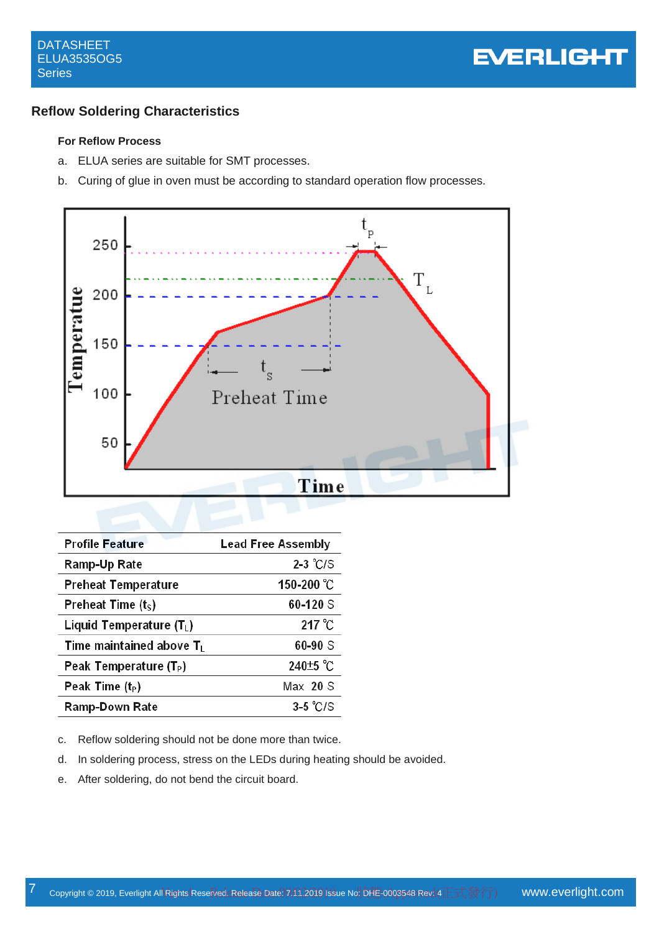#### **Reflow Soldering Characteristics**

#### **For Reflow Process**

- a. ELUA series are suitable for SMT processes.
- b. Curing of glue in oven must be according to standard operation flow processes.



| <b>Profile Feature</b>             | <b>Lead Free Assembly</b> |
|------------------------------------|---------------------------|
| Ramp-Up Rate                       | $2-3$ °C/S                |
| <b>Preheat Temperature</b>         | 150-200 °C                |
| Preheat Time $(ts)$                | 60-120 S                  |
| Liquid Temperature $(T_L)$         | $217^{\circ}$ C           |
| Time maintained above $T_L$        | $60 - 90S$                |
| Peak Temperature (T <sub>P</sub> ) | 240 <sup>+5</sup> °C      |
| Peak Time $(t_P)$                  | Max 20 S                  |
| Ramp-Down Rate                     | $3-5$ °C/S                |

- c. Reflow soldering should not be done more than twice.
- d. In soldering process, stress on the LEDs during heating should be avoided.
- e. After soldering, do not bend the circuit board.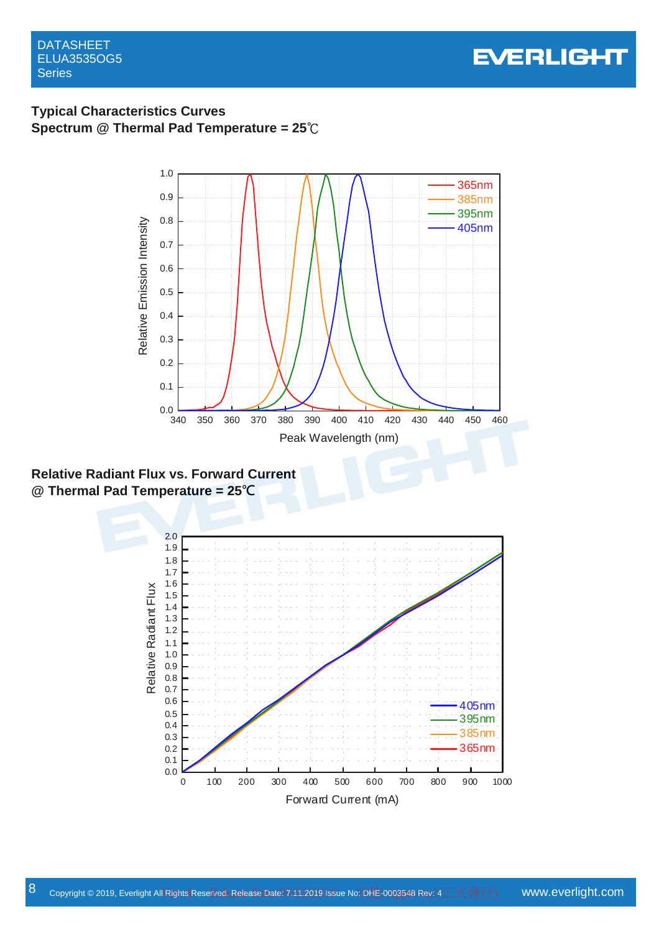DATASHEET ELUA3535OG5 **Series** 



# **Typical Characteristics Curves Spectrum @ Thermal Pad Temperature = 25**℃



**Relative Radiant Flux vs. Forward Current @ Thermal Pad Temperature = 25℃**

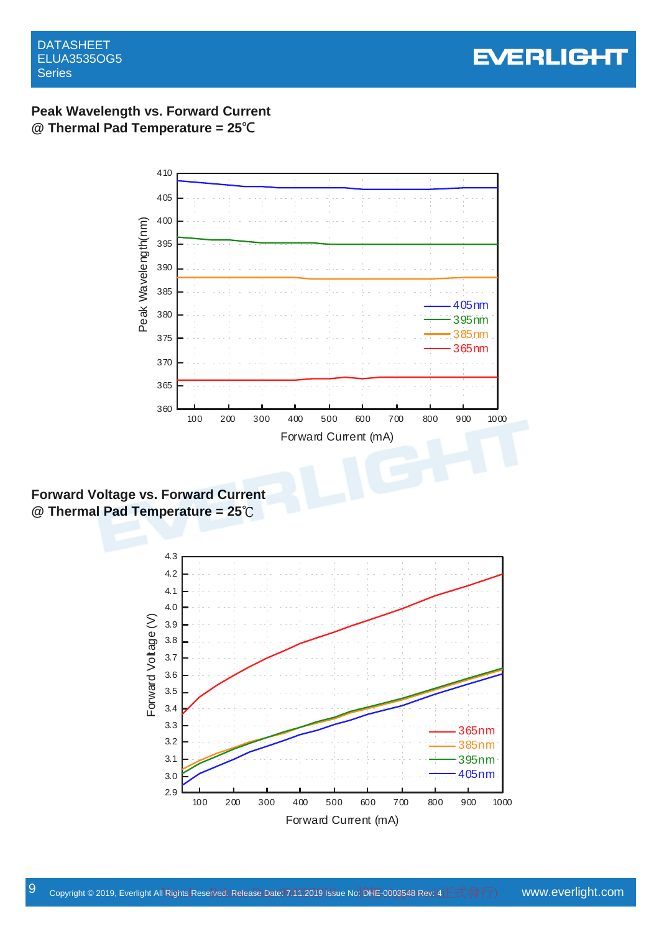

# **Peak Wavelength vs. Forward Current @ Thermal Pad Temperature = 25℃**



**Forward Voltage vs. Forward Current @ Thermal Pad Temperature = 25**℃

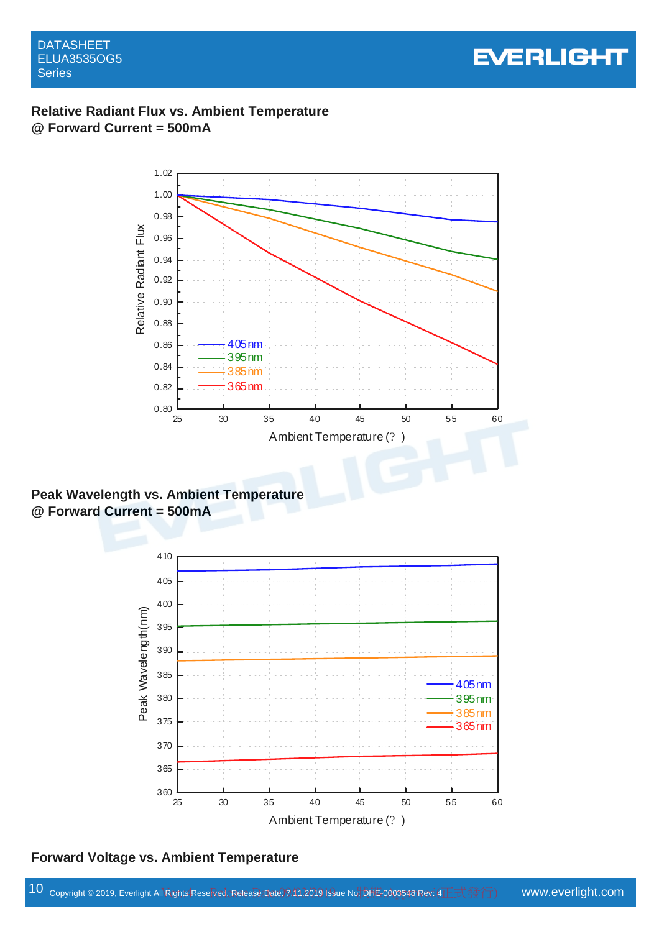

# **Relative Radiant Flux vs. Ambient Temperature @ Forward Current = 500mA**



**Peak Wavelength vs. Ambient Temperature @ Forward Current = 500mA** 



**Forward Voltage vs. Ambient Temperature**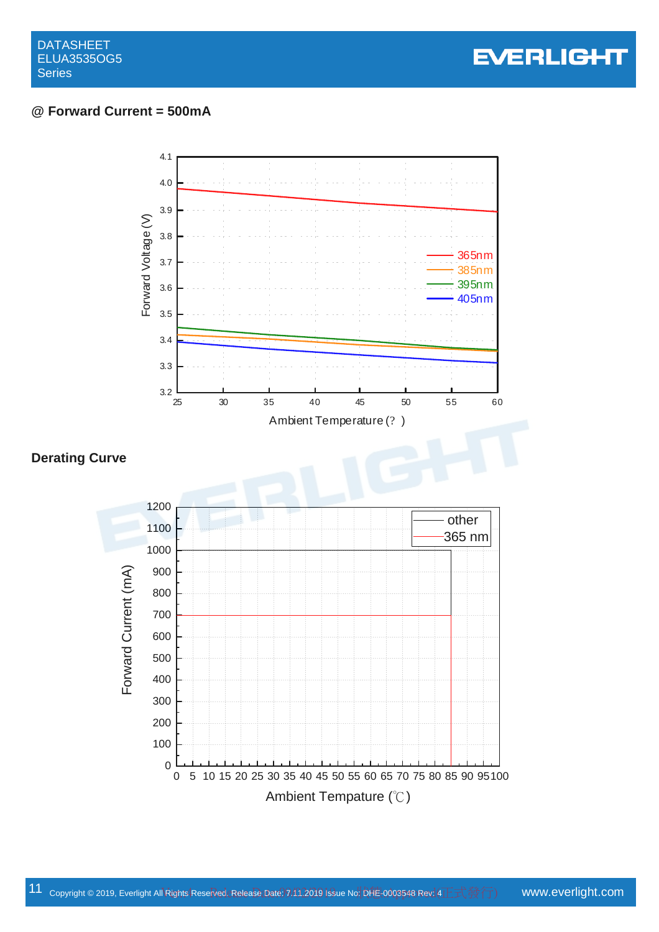

# **@ Forward Current = 500mA**

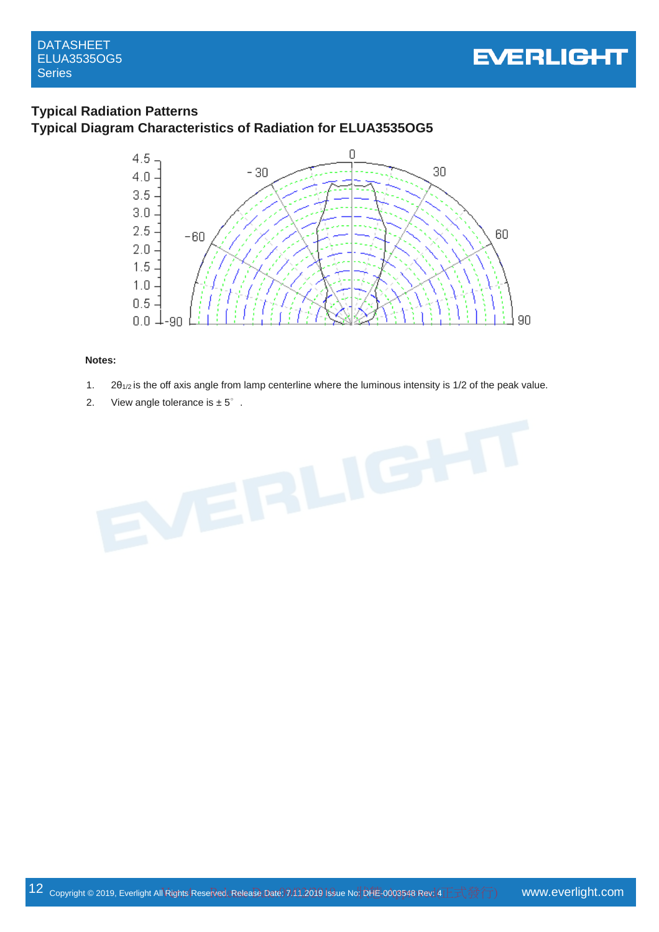

### **Typical Radiation Patterns Typical Diagram Characteristics of Radiation for ELUA3535OG5**



#### **Notes:**

- 1.  $2\theta_{1/2}$  is the off axis angle from lamp centerline where the luminous intensity is 1/2 of the peak value.
- 2. View angle tolerance is  $\pm 5^\circ$ .

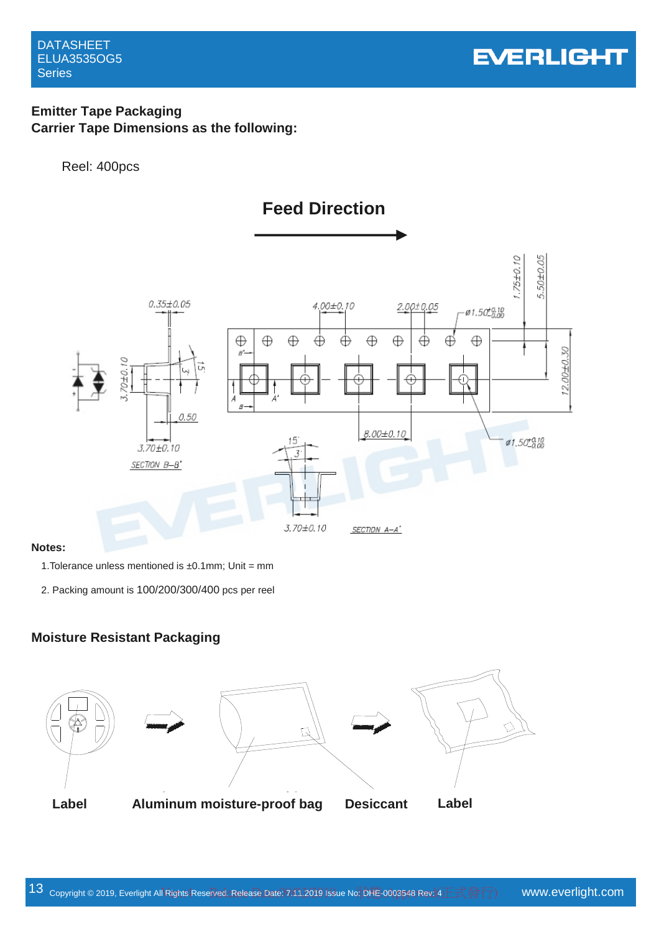# **Emitter Tape Packaging Carrier Tape Dimensions as the following:**

#### Reel: 400pcs



#### **Notes:**

1. Tolerance unless mentioned is  $\pm 0.1$  mm; Unit = mm

2. Packing amount is 100/200/300/400 pcs per reel

#### **Moisture Resistant Packaging**







Label Aluminum moistue-proof bag Desiccant Label **Label Aluminum moisture-proof bag Desiccant Label**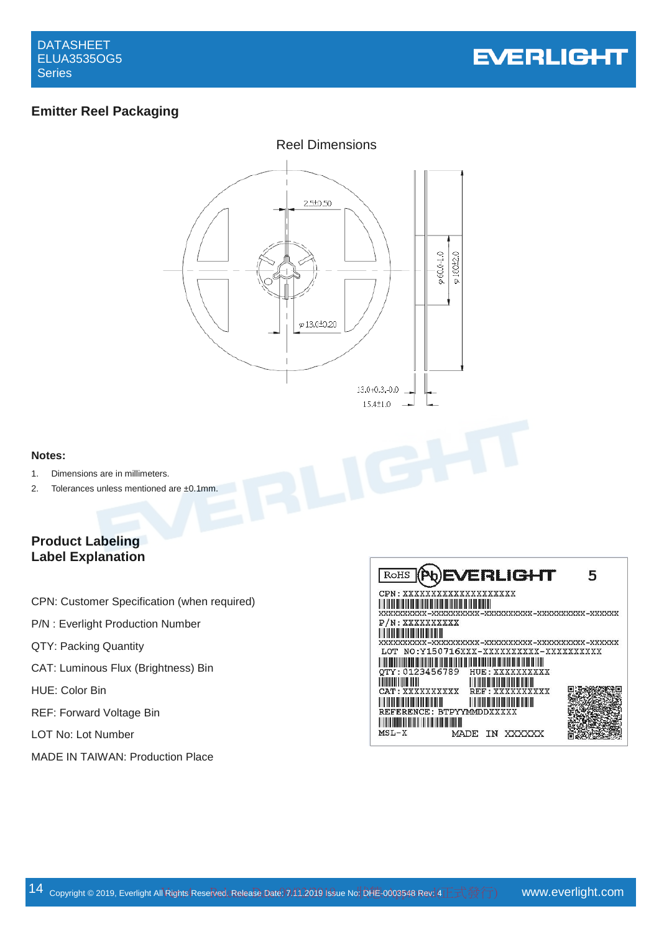

# **Emitter Reel Packaging**



#### **Notes:**

- 1. Dimensions are in millimeters.
- 2. Tolerances unless mentioned are ±0.1mm.

# **Product Labeling Label Explanation**

- CPN: Customer Specification (when required)
- P/N : Everlight Production Number
- QTY: Packing Quantity
- CAT: Luminous Flux (Brightness) Bin
- HUE: Color Bin
- REF: Forward Voltage Bin
- LOT No: Lot Number
- MADE IN TAIWAN: Production Place

| ROHS (PQ)EVERLIGHT<br>Б,                                                                                                                                                                               |
|--------------------------------------------------------------------------------------------------------------------------------------------------------------------------------------------------------|
| CPN: XXXXXXXXXXXXXXXXXXX                                                                                                                                                                               |
| P/N: XXXXXXXXXX                                                                                                                                                                                        |
| LOT NO:Y150716XXX-XXXXXXXXXX-XXXXXXXXXX                                                                                                                                                                |
| QTY: 0123456789<br>HUE : XXXXXXXXXX                                                                                                                                                                    |
| <b>The Community of the Community</b><br><u> HII DI HII DI HII DI HII DI HII DI HII DI HII DI HII DI HII DI HII DI HII DI HII DI HII DI HII DI HII DI HII D</u><br>CAT: XXXXXXXXXX<br>REF : XXXXXXXXXX |
| <u> HERBITAN HERBITAN HERBITAN BERKE</u><br>REFERENCE: BTPYYMMDDXXXXX                                                                                                                                  |
| $MSL-X$<br>MADE<br>ΙN                                                                                                                                                                                  |